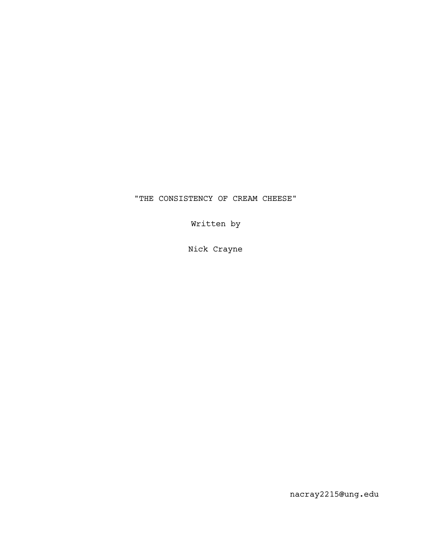## "THE CONSISTENCY OF CREAM CHEESE"

Written by

Nick Crayne

nacray2215@ung.edu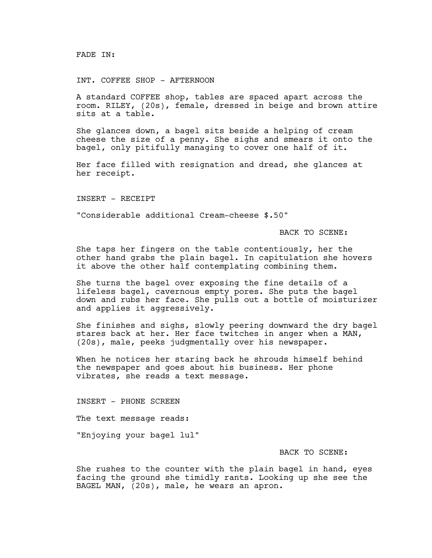FADE IN:

INT. COFFEE SHOP - AFTERNOON

A standard COFFEE shop, tables are spaced apart across the room. RILEY, (20s), female, dressed in beige and brown attire sits at a table.

She glances down, a bagel sits beside a helping of cream cheese the size of a penny. She sighs and smears it onto the bagel, only pitifully managing to cover one half of it.

Her face filled with resignation and dread, she glances at her receipt.

INSERT - RECEIPT

"Considerable additional Cream-cheese \$.50"

BACK TO SCENE:

She taps her fingers on the table contentiously, her the other hand grabs the plain bagel. In capitulation she hovers it above the other half contemplating combining them.

She turns the bagel over exposing the fine details of a lifeless bagel, cavernous empty pores. She puts the bagel down and rubs her face. She pulls out a bottle of moisturizer and applies it aggressively.

She finishes and sighs, slowly peering downward the dry bagel stares back at her. Her face twitches in anger when a MAN, (20s), male, peeks judgmentally over his newspaper.

When he notices her staring back he shrouds himself behind the newspaper and goes about his business. Her phone vibrates, she reads a text message.

INSERT - PHONE SCREEN

The text message reads:

"Enjoying your bagel lul"

## BACK TO SCENE:

She rushes to the counter with the plain bagel in hand, eyes facing the ground she timidly rants. Looking up she see the BAGEL MAN, (20s), male, he wears an apron.